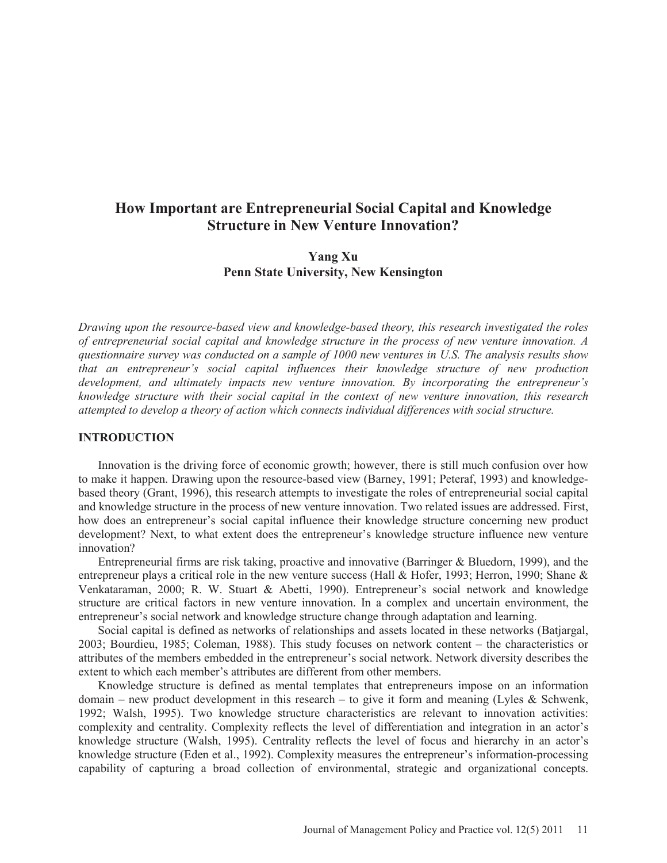# **How Important are Entrepreneurial Social Capital and Knowledge Structure in New Venture Innovation?**

## **Yang Xu Penn State University, New Kensington**

*Drawing upon the resource-based view and knowledge-based theory, this research investigated the roles of entrepreneurial social capital and knowledge structure in the process of new venture innovation. A questionnaire survey was conducted on a sample of 1000 new ventures in U.S. The analysis results show that an entrepreneur's social capital influences their knowledge structure of new production development, and ultimately impacts new venture innovation. By incorporating the entrepreneur's knowledge structure with their social capital in the context of new venture innovation, this research attempted to develop a theory of action which connects individual differences with social structure.* 

## **INTRODUCTION**

Innovation is the driving force of economic growth; however, there is still much confusion over how to make it happen. Drawing upon the resource-based view (Barney, 1991; Peteraf, 1993) and knowledgebased theory (Grant, 1996), this research attempts to investigate the roles of entrepreneurial social capital and knowledge structure in the process of new venture innovation. Two related issues are addressed. First, how does an entrepreneur's social capital influence their knowledge structure concerning new product development? Next, to what extent does the entrepreneur's knowledge structure influence new venture innovation?

Entrepreneurial firms are risk taking, proactive and innovative (Barringer & Bluedorn, 1999), and the entrepreneur plays a critical role in the new venture success (Hall & Hofer, 1993; Herron, 1990; Shane & Venkataraman, 2000; R. W. Stuart & Abetti, 1990). Entrepreneur's social network and knowledge structure are critical factors in new venture innovation. In a complex and uncertain environment, the entrepreneur's social network and knowledge structure change through adaptation and learning.

Social capital is defined as networks of relationships and assets located in these networks (Batjargal, 2003; Bourdieu, 1985; Coleman, 1988). This study focuses on network content – the characteristics or attributes of the members embedded in the entrepreneur's social network. Network diversity describes the extent to which each member's attributes are different from other members.

Knowledge structure is defined as mental templates that entrepreneurs impose on an information domain – new product development in this research – to give it form and meaning (Lyles & Schwenk, 1992; Walsh, 1995). Two knowledge structure characteristics are relevant to innovation activities: complexity and centrality. Complexity reflects the level of differentiation and integration in an actor's knowledge structure (Walsh, 1995). Centrality reflects the level of focus and hierarchy in an actor's knowledge structure (Eden et al., 1992). Complexity measures the entrepreneur's information-processing capability of capturing a broad collection of environmental, strategic and organizational concepts.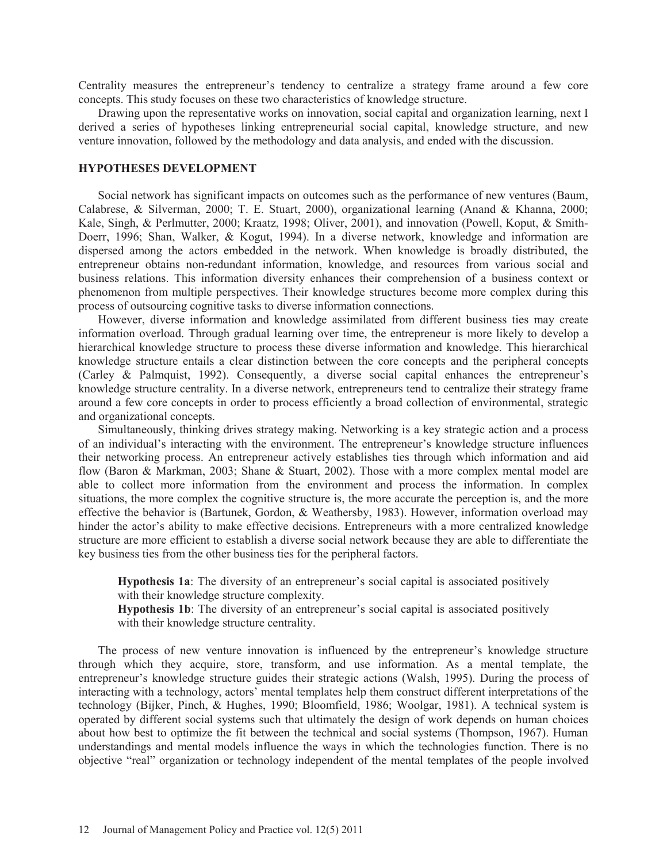Centrality measures the entrepreneur's tendency to centralize a strategy frame around a few core concepts. This study focuses on these two characteristics of knowledge structure.

Drawing upon the representative works on innovation, social capital and organization learning, next I derived a series of hypotheses linking entrepreneurial social capital, knowledge structure, and new venture innovation, followed by the methodology and data analysis, and ended with the discussion.

#### **HYPOTHESES DEVELOPMENT**

Social network has significant impacts on outcomes such as the performance of new ventures (Baum, Calabrese, & Silverman, 2000; T. E. Stuart, 2000), organizational learning (Anand & Khanna, 2000; Kale, Singh, & Perlmutter, 2000; Kraatz, 1998; Oliver, 2001), and innovation (Powell, Koput, & Smith-Doerr, 1996; Shan, Walker, & Kogut, 1994). In a diverse network, knowledge and information are dispersed among the actors embedded in the network. When knowledge is broadly distributed, the entrepreneur obtains non-redundant information, knowledge, and resources from various social and business relations. This information diversity enhances their comprehension of a business context or phenomenon from multiple perspectives. Their knowledge structures become more complex during this process of outsourcing cognitive tasks to diverse information connections.

However, diverse information and knowledge assimilated from different business ties may create information overload. Through gradual learning over time, the entrepreneur is more likely to develop a hierarchical knowledge structure to process these diverse information and knowledge. This hierarchical knowledge structure entails a clear distinction between the core concepts and the peripheral concepts (Carley & Palmquist, 1992). Consequently, a diverse social capital enhances the entrepreneur's knowledge structure centrality. In a diverse network, entrepreneurs tend to centralize their strategy frame around a few core concepts in order to process efficiently a broad collection of environmental, strategic and organizational concepts.

Simultaneously, thinking drives strategy making. Networking is a key strategic action and a process of an individual's interacting with the environment. The entrepreneur's knowledge structure influences their networking process. An entrepreneur actively establishes ties through which information and aid flow (Baron & Markman, 2003; Shane & Stuart, 2002). Those with a more complex mental model are able to collect more information from the environment and process the information. In complex situations, the more complex the cognitive structure is, the more accurate the perception is, and the more effective the behavior is (Bartunek, Gordon, & Weathersby, 1983). However, information overload may hinder the actor's ability to make effective decisions. Entrepreneurs with a more centralized knowledge structure are more efficient to establish a diverse social network because they are able to differentiate the key business ties from the other business ties for the peripheral factors.

**Hypothesis 1a**: The diversity of an entrepreneur's social capital is associated positively with their knowledge structure complexity.

**Hypothesis 1b**: The diversity of an entrepreneur's social capital is associated positively with their knowledge structure centrality.

The process of new venture innovation is influenced by the entrepreneur's knowledge structure through which they acquire, store, transform, and use information. As a mental template, the entrepreneur's knowledge structure guides their strategic actions (Walsh, 1995). During the process of interacting with a technology, actors' mental templates help them construct different interpretations of the technology (Bijker, Pinch, & Hughes, 1990; Bloomfield, 1986; Woolgar, 1981). A technical system is operated by different social systems such that ultimately the design of work depends on human choices about how best to optimize the fit between the technical and social systems (Thompson, 1967). Human understandings and mental models influence the ways in which the technologies function. There is no objective "real" organization or technology independent of the mental templates of the people involved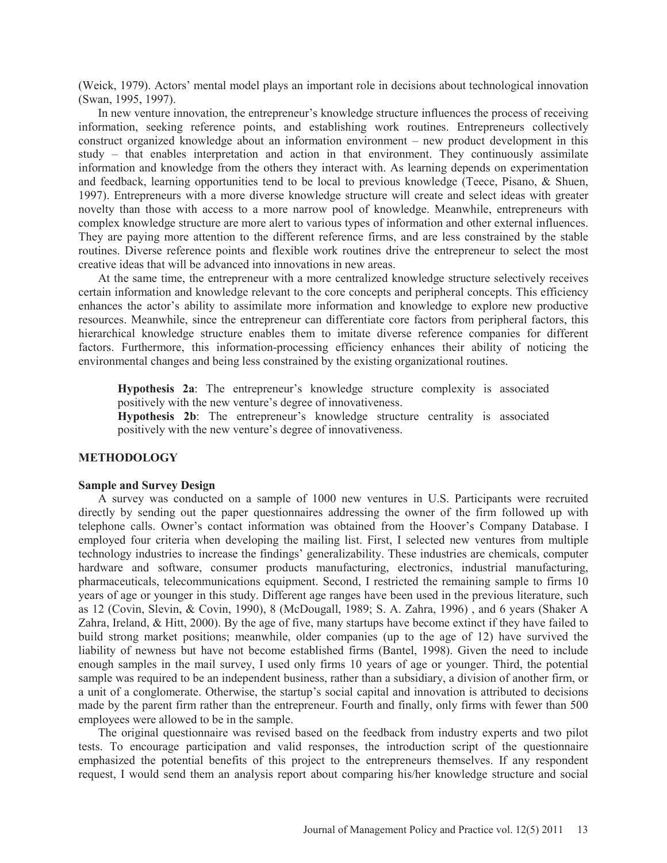(Weick, 1979). Actors' mental model plays an important role in decisions about technological innovation (Swan, 1995, 1997).

In new venture innovation, the entrepreneur's knowledge structure influences the process of receiving information, seeking reference points, and establishing work routines. Entrepreneurs collectively construct organized knowledge about an information environment – new product development in this study – that enables interpretation and action in that environment. They continuously assimilate information and knowledge from the others they interact with. As learning depends on experimentation and feedback, learning opportunities tend to be local to previous knowledge (Teece, Pisano, & Shuen, 1997). Entrepreneurs with a more diverse knowledge structure will create and select ideas with greater novelty than those with access to a more narrow pool of knowledge. Meanwhile, entrepreneurs with complex knowledge structure are more alert to various types of information and other external influences. They are paying more attention to the different reference firms, and are less constrained by the stable routines. Diverse reference points and flexible work routines drive the entrepreneur to select the most creative ideas that will be advanced into innovations in new areas.

At the same time, the entrepreneur with a more centralized knowledge structure selectively receives certain information and knowledge relevant to the core concepts and peripheral concepts. This efficiency enhances the actor's ability to assimilate more information and knowledge to explore new productive resources. Meanwhile, since the entrepreneur can differentiate core factors from peripheral factors, this hierarchical knowledge structure enables them to imitate diverse reference companies for different factors. Furthermore, this information-processing efficiency enhances their ability of noticing the environmental changes and being less constrained by the existing organizational routines.

**Hypothesis 2a**: The entrepreneur's knowledge structure complexity is associated positively with the new venture's degree of innovativeness.

**Hypothesis 2b**: The entrepreneur's knowledge structure centrality is associated positively with the new venture's degree of innovativeness.

## **METHODOLOGY**

#### **Sample and Survey Design**

A survey was conducted on a sample of 1000 new ventures in U.S. Participants were recruited directly by sending out the paper questionnaires addressing the owner of the firm followed up with telephone calls. Owner's contact information was obtained from the Hoover's Company Database. I employed four criteria when developing the mailing list. First, I selected new ventures from multiple technology industries to increase the findings' generalizability. These industries are chemicals, computer hardware and software, consumer products manufacturing, electronics, industrial manufacturing, pharmaceuticals, telecommunications equipment. Second, I restricted the remaining sample to firms 10 years of age or younger in this study. Different age ranges have been used in the previous literature, such as 12 (Covin, Slevin, & Covin, 1990), 8 (McDougall, 1989; S. A. Zahra, 1996) , and 6 years (Shaker A Zahra, Ireland, & Hitt, 2000). By the age of five, many startups have become extinct if they have failed to build strong market positions; meanwhile, older companies (up to the age of 12) have survived the liability of newness but have not become established firms (Bantel, 1998). Given the need to include enough samples in the mail survey, I used only firms 10 years of age or younger. Third, the potential sample was required to be an independent business, rather than a subsidiary, a division of another firm, or a unit of a conglomerate. Otherwise, the startup's social capital and innovation is attributed to decisions made by the parent firm rather than the entrepreneur. Fourth and finally, only firms with fewer than 500 employees were allowed to be in the sample.

The original questionnaire was revised based on the feedback from industry experts and two pilot tests. To encourage participation and valid responses, the introduction script of the questionnaire emphasized the potential benefits of this project to the entrepreneurs themselves. If any respondent request, I would send them an analysis report about comparing his/her knowledge structure and social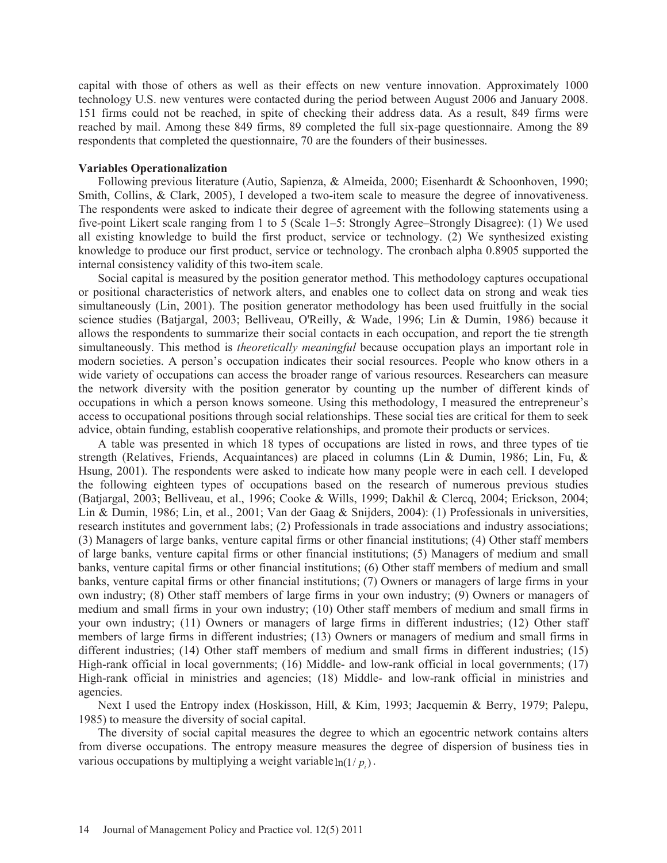capital with those of others as well as their effects on new venture innovation. Approximately 1000 technology U.S. new ventures were contacted during the period between August 2006 and January 2008. 151 firms could not be reached, in spite of checking their address data. As a result, 849 firms were reached by mail. Among these 849 firms, 89 completed the full six-page questionnaire. Among the 89 respondents that completed the questionnaire, 70 are the founders of their businesses.

#### **Variables Operationalization**

Following previous literature (Autio, Sapienza, & Almeida, 2000; Eisenhardt & Schoonhoven, 1990; Smith, Collins, & Clark, 2005), I developed a two-item scale to measure the degree of innovativeness. The respondents were asked to indicate their degree of agreement with the following statements using a five-point Likert scale ranging from 1 to 5 (Scale 1–5: Strongly Agree–Strongly Disagree): (1) We used all existing knowledge to build the first product, service or technology. (2) We synthesized existing knowledge to produce our first product, service or technology. The cronbach alpha 0.8905 supported the internal consistency validity of this two-item scale.

Social capital is measured by the position generator method. This methodology captures occupational or positional characteristics of network alters, and enables one to collect data on strong and weak ties simultaneously (Lin, 2001). The position generator methodology has been used fruitfully in the social science studies (Batjargal, 2003; Belliveau, O'Reilly, & Wade, 1996; Lin & Dumin, 1986) because it allows the respondents to summarize their social contacts in each occupation, and report the tie strength simultaneously. This method is *theoretically meaningful* because occupation plays an important role in modern societies. A person's occupation indicates their social resources. People who know others in a wide variety of occupations can access the broader range of various resources. Researchers can measure the network diversity with the position generator by counting up the number of different kinds of occupations in which a person knows someone. Using this methodology, I measured the entrepreneur's access to occupational positions through social relationships. These social ties are critical for them to seek advice, obtain funding, establish cooperative relationships, and promote their products or services.

A table was presented in which 18 types of occupations are listed in rows, and three types of tie strength (Relatives, Friends, Acquaintances) are placed in columns (Lin & Dumin, 1986; Lin, Fu, & Hsung, 2001). The respondents were asked to indicate how many people were in each cell. I developed the following eighteen types of occupations based on the research of numerous previous studies (Batjargal, 2003; Belliveau, et al., 1996; Cooke & Wills, 1999; Dakhil & Clercq, 2004; Erickson, 2004; Lin & Dumin, 1986; Lin, et al., 2001; Van der Gaag & Snijders, 2004): (1) Professionals in universities, research institutes and government labs; (2) Professionals in trade associations and industry associations; (3) Managers of large banks, venture capital firms or other financial institutions; (4) Other staff members of large banks, venture capital firms or other financial institutions; (5) Managers of medium and small banks, venture capital firms or other financial institutions; (6) Other staff members of medium and small banks, venture capital firms or other financial institutions; (7) Owners or managers of large firms in your own industry; (8) Other staff members of large firms in your own industry; (9) Owners or managers of medium and small firms in your own industry; (10) Other staff members of medium and small firms in your own industry; (11) Owners or managers of large firms in different industries; (12) Other staff members of large firms in different industries; (13) Owners or managers of medium and small firms in different industries; (14) Other staff members of medium and small firms in different industries; (15) High-rank official in local governments; (16) Middle- and low-rank official in local governments; (17) High-rank official in ministries and agencies; (18) Middle- and low-rank official in ministries and agencies.

Next I used the Entropy index (Hoskisson, Hill, & Kim, 1993; Jacquemin & Berry, 1979; Palepu, 1985) to measure the diversity of social capital.

The diversity of social capital measures the degree to which an egocentric network contains alters from diverse occupations. The entropy measure measures the degree of dispersion of business ties in various occupations by multiplying a weight variable  $ln(1/p_i)$ .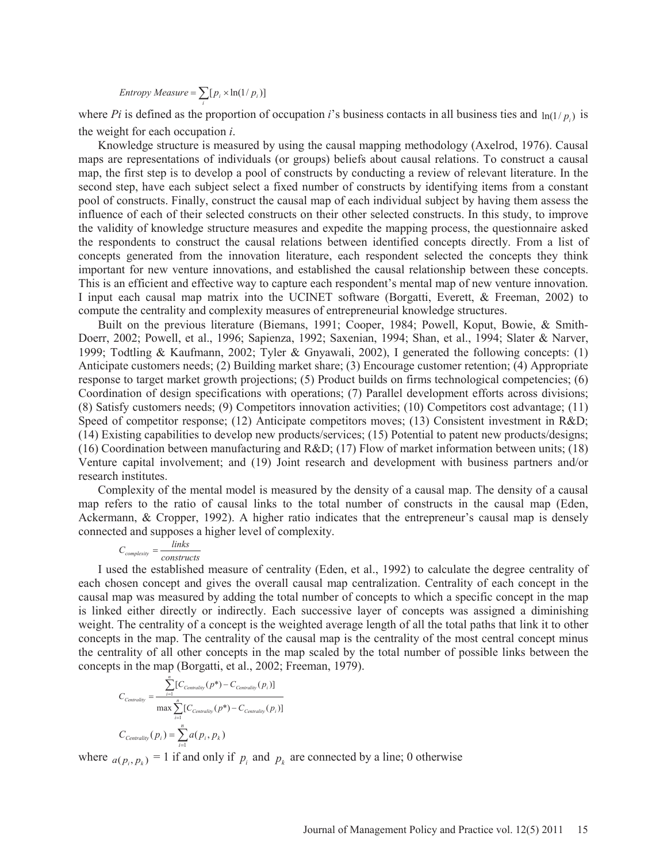$Entropy Measure = \sum_{i} [p_i \times \ln(1/p_i)]$ 

where *Pi* is defined as the proportion of occupation *i*'s business contacts in all business ties and  $\ln(1/p_i)$  is the weight for each occupation *i*.

Knowledge structure is measured by using the causal mapping methodology (Axelrod, 1976). Causal maps are representations of individuals (or groups) beliefs about causal relations. To construct a causal map, the first step is to develop a pool of constructs by conducting a review of relevant literature. In the second step, have each subject select a fixed number of constructs by identifying items from a constant pool of constructs. Finally, construct the causal map of each individual subject by having them assess the influence of each of their selected constructs on their other selected constructs. In this study, to improve the validity of knowledge structure measures and expedite the mapping process, the questionnaire asked the respondents to construct the causal relations between identified concepts directly. From a list of concepts generated from the innovation literature, each respondent selected the concepts they think important for new venture innovations, and established the causal relationship between these concepts. This is an efficient and effective way to capture each respondent's mental map of new venture innovation. I input each causal map matrix into the UCINET software (Borgatti, Everett, & Freeman, 2002) to compute the centrality and complexity measures of entrepreneurial knowledge structures.

Built on the previous literature (Biemans, 1991; Cooper, 1984; Powell, Koput, Bowie, & Smith-Doerr, 2002; Powell, et al., 1996; Sapienza, 1992; Saxenian, 1994; Shan, et al., 1994; Slater & Narver, 1999; Todtling & Kaufmann, 2002; Tyler & Gnyawali, 2002), I generated the following concepts: (1) Anticipate customers needs; (2) Building market share; (3) Encourage customer retention; (4) Appropriate response to target market growth projections; (5) Product builds on firms technological competencies; (6) Coordination of design specifications with operations; (7) Parallel development efforts across divisions; (8) Satisfy customers needs; (9) Competitors innovation activities; (10) Competitors cost advantage; (11) Speed of competitor response; (12) Anticipate competitors moves; (13) Consistent investment in R&D; (14) Existing capabilities to develop new products/services; (15) Potential to patent new products/designs; (16) Coordination between manufacturing and R&D; (17) Flow of market information between units; (18) Venture capital involvement; and (19) Joint research and development with business partners and/or research institutes.

Complexity of the mental model is measured by the density of a causal map. The density of a causal map refers to the ratio of causal links to the total number of constructs in the causal map (Eden, Ackermann, & Cropper, 1992). A higher ratio indicates that the entrepreneur's causal map is densely connected and supposes a higher level of complexity.

$$
C_{complexity} = \frac{links}{constraints}
$$

I used the established measure of centrality (Eden, et al., 1992) to calculate the degree centrality of each chosen concept and gives the overall causal map centralization. Centrality of each concept in the causal map was measured by adding the total number of concepts to which a specific concept in the map is linked either directly or indirectly. Each successive layer of concepts was assigned a diminishing weight. The centrality of a concept is the weighted average length of all the total paths that link it to other concepts in the map. The centrality of the causal map is the centrality of the most central concept minus the centrality of all other concepts in the map scaled by the total number of possible links between the concepts in the map (Borgatti, et al., 2002; Freeman, 1979).

$$
C_{\text{Centrality}} = \frac{\sum_{i=1}^{n} [C_{\text{Centrality}}(p^*) - C_{\text{Centrality}}(p_i)]}{\max \sum_{i=1}^{n} [C_{\text{Centrality}}(p^*) - C_{\text{Centrality}}(p_i)]}
$$

$$
C_{\text{Centrality}}(p_i) = \sum_{i=1}^{n} a(p_i, p_k)
$$

where  $a(p_i, p_k) = 1$  if and only if  $p_i$  and  $p_k$  are connected by a line; 0 otherwise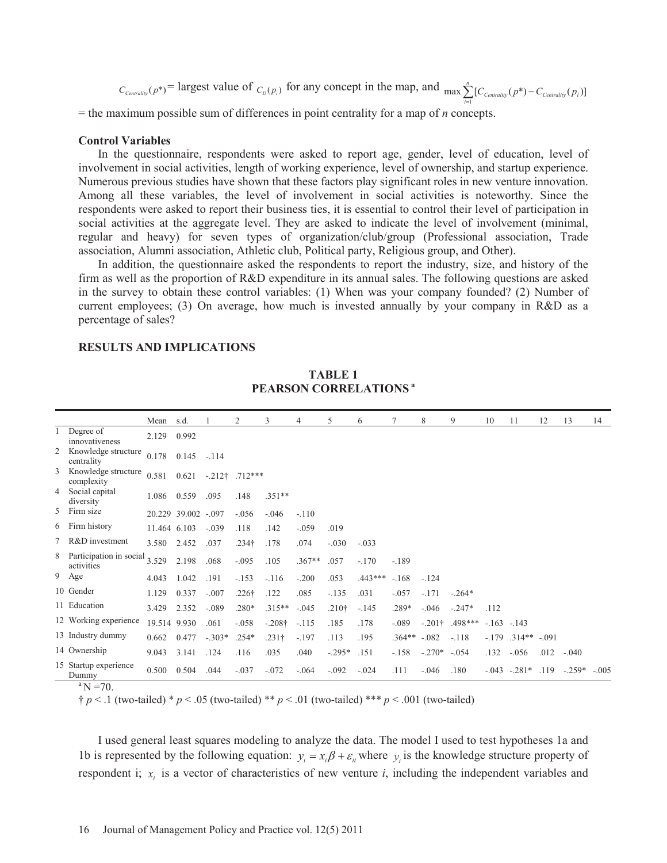$C_{\text{Centrality}}(p^*)$  = largest value of  $C_D(p_i)$  for any concept in the map, and  $\max_{i=1}^n [C_{\text{Centrality}}(p^*) \max \sum_{i=1}$  [ $C_{Centrality}(p^*)$  –  $C_{Centrality}(p_i)$ ] = the maximum possible sum of differences in point centrality for a map of *n* concepts.

#### **Control Variables**

In the questionnaire, respondents were asked to report age, gender, level of education, level of involvement in social activities, length of working experience, level of ownership, and startup experience. Numerous previous studies have shown that these factors play significant roles in new venture innovation. Among all these variables, the level of involvement in social activities is noteworthy. Since the respondents were asked to report their business ties, it is essential to control their level of participation in social activities at the aggregate level. They are asked to indicate the level of involvement (minimal, regular and heavy) for seven types of organization/club/group (Professional association, Trade association, Alumni association, Athletic club, Political party, Religious group, and Other).

In addition, the questionnaire asked the respondents to report the industry, size, and history of the firm as well as the proportion of R&D expenditure in its annual sales. The following questions are asked in the survey to obtain these control variables: (1) When was your company founded? (2) Number of current employees; (3) On average, how much is invested annually by your company in R&D as a percentage of sales?

#### **RESULTS AND IMPLICATIONS**

|   |                                             | Mean         | s.d.          | 1        | $\overline{2}$  | 3             | $\overline{4}$ | 5                 | 6       | 7        | 8              | 9        | 10           | 11                       | 12   | 13      | 14      |
|---|---------------------------------------------|--------------|---------------|----------|-----------------|---------------|----------------|-------------------|---------|----------|----------------|----------|--------------|--------------------------|------|---------|---------|
|   | Degree of<br>innovativeness                 | 2.129        | 0.992         |          |                 |               |                |                   |         |          |                |          |              |                          |      |         |         |
|   | Knowledge structure<br>centrality           | 0.178        | 0.145         | $-.114$  |                 |               |                |                   |         |          |                |          |              |                          |      |         |         |
| 3 | Knowledge structure<br>complexity           | 0.581        | 0.621         |          | $-212$ $712***$ |               |                |                   |         |          |                |          |              |                          |      |         |         |
| 4 | Social capital<br>diversity                 | 1.086        | 0.559         | .095     | .148            | $.351**$      |                |                   |         |          |                |          |              |                          |      |         |         |
|   | 5 Firm size                                 |              | 20.229 39.002 | $-.097$  | $-.056$         | $-.046$       | $-.110$        |                   |         |          |                |          |              |                          |      |         |         |
|   | 6 Firm history                              | 11.464 6.103 |               | $-.039$  | .118            | .142          | $-.059$        | .019              |         |          |                |          |              |                          |      |         |         |
|   | 7 R&D investment                            | 3.580        | 2.452         | .037     | $.234\dagger$   | .178          | .074           | $-.030$           | $-.033$ |          |                |          |              |                          |      |         |         |
| 8 | Participation in social 3.529<br>activities |              | 2.198         | .068     | $-.095$         | .105          | $.367**$       | .057              | $-.170$ | $-.189$  |                |          |              |                          |      |         |         |
|   | 9 Age                                       | 4.043        | 1.042         | .191     | $-.153$         | $-.116$       | $-.200$        | .053              | .443*** | $-.168$  | $-.124$        |          |              |                          |      |         |         |
|   | 10 Gender                                   | 1.129        | 0.337         | $-.007$  | $.226\dagger$   | .122          | .085           | $-.135$           | .031    | $-.057$  | $-.171$        | $-.264*$ |              |                          |      |         |         |
|   | 11 Education                                | 3.429        | 2.352         | $-.089$  | $.280*$         | $.315**$      | $-.045$        | .210 <sup>†</sup> | $-.145$ | .289*    | $-.046$        | $-.247*$ | .112         |                          |      |         |         |
|   | 12 Working experience                       | 19.514 9.930 |               | .061     | $-.058$         | $-.208+$      | $-.115$        | .185              | .178    | $-.089$  | $-.201\dagger$ | .498***  | $-163 - 143$ |                          |      |         |         |
|   | 13 Industry dummy                           | 0.662        | 0.477         | $-.303*$ | $.254*$         | $.231\dagger$ | $-.197$        | .113              | .195    | $.364**$ | $-.082$        | $-.118$  |              | $-.179$ $.314**$ $-.091$ |      |         |         |
|   | 14 Ownership                                | 9.043        | 3.141         | .124     | .116            | .035          | .040           | $-.295*$          | .151    | $-.158$  | $-.270*$       | $-.054$  | .132         | $-.056$                  | .012 | $-.040$ |         |
|   | 15 Startup experience<br>Dummy              | 0.500        | 0.504         | .044     | $-.037$         | $-.072$       | $-.064$        | $-.092$           | $-.024$ | .111     | $-.046$        | .180     |              | $-.043-.281*$            | .119 | $-259*$ | $-.005$ |

## **TABLE 1 PEARSON CORRELATIONS<sup>a</sup>**

 $a_{\text{N}} = 70$ 

 $\uparrow p$  < .1 (two-tailed) \* *p* < .05 (two-tailed) \*\* *p* < .01 (two-tailed) \*\*\* *p* < .001 (two-tailed)

I used general least squares modeling to analyze the data. The model I used to test hypotheses 1a and 1b is represented by the following equation:  $y_i = x_i \beta + \varepsilon_i$  where  $y_i$  is the knowledge structure property of respondent i;  $x_i$  is a vector of characteristics of new venture  $i$ , including the independent variables and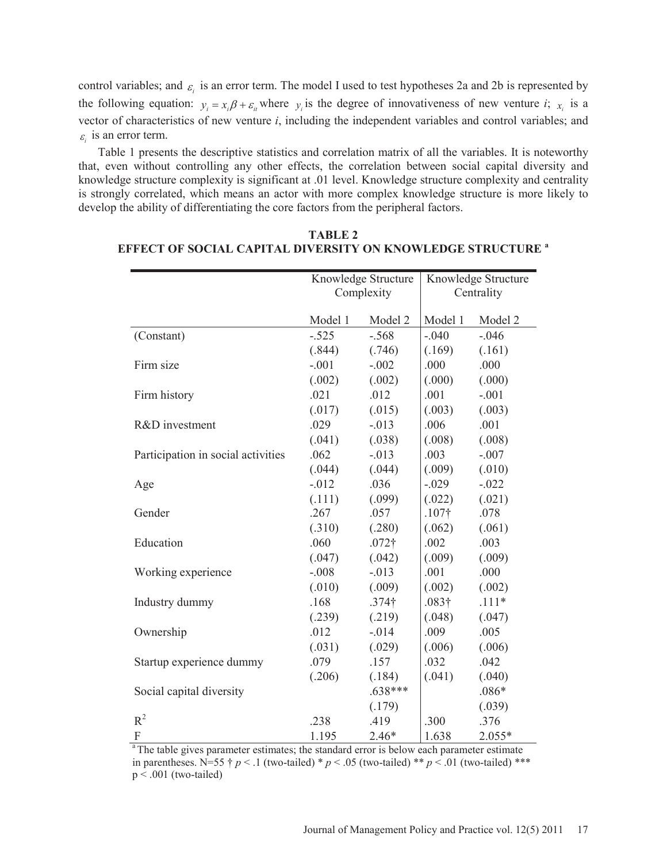control variables; and  $\varepsilon$  is an error term. The model I used to test hypotheses 2a and 2b is represented by the following equation:  $y_i = x_i \beta + \varepsilon_i$  where  $y_i$  is the degree of innovativeness of new venture *i*;  $x_i$  is a vector of characteristics of new venture *i*, including the independent variables and control variables; and  $\epsilon_i$  is an error term.

Table 1 presents the descriptive statistics and correlation matrix of all the variables. It is noteworthy that, even without controlling any other effects, the correlation between social capital diversity and knowledge structure complexity is significant at .01 level. Knowledge structure complexity and centrality is strongly correlated, which means an actor with more complex knowledge structure is more likely to develop the ability of differentiating the core factors from the peripheral factors.

|                                    | Knowledge Structure |               | Knowledge Structure |          |  |
|------------------------------------|---------------------|---------------|---------------------|----------|--|
|                                    | Complexity          |               | Centrality          |          |  |
|                                    | Model 1             | Model 2       | Model 1             | Model 2  |  |
| (Constant)                         | $-.525$             | $-.568$       | $-.040$             | $-.046$  |  |
|                                    | (.844)              | (.746)        | (.169)              | (.161)   |  |
| Firm size                          | $-.001$             | $-.002$       | .000                | .000     |  |
|                                    | (.002)              | (.002)        | (.000)              | (.000)   |  |
| Firm history                       | .021                | .012          | .001                | $-.001$  |  |
|                                    | (.017)              | (.015)        | (.003)              | (.003)   |  |
| R&D investment                     | .029                | $-.013$       | .006                | .001     |  |
|                                    | (.041)              | (.038)        | (.008)              | (.008)   |  |
| Participation in social activities | .062                | $-.013$       | .003                | $-.007$  |  |
|                                    | (.044)              | (.044)        | (.009)              | (.010)   |  |
| Age                                | $-0.012$            | .036          | $-.029$             | $-.022$  |  |
|                                    | (.111)              | (.099)        | (.022)              | (.021)   |  |
| Gender                             | .267                | .057          | .107 <sup>†</sup>   | .078     |  |
|                                    | (.310)              | (.280)        | (.062)              | (.061)   |  |
| Education                          | .060                | $.072\dagger$ | .002                | .003     |  |
|                                    | (.047)              | (.042)        | (.009)              | (.009)   |  |
| Working experience                 | $-.008$             | $-.013$       | .001                | .000     |  |
|                                    | (.010)              | (.009)        | (.002)              | (.002)   |  |
| Industry dummy                     | .168                | $.374\dagger$ | $.083\dagger$       | $.111*$  |  |
|                                    | (.239)              | (.219)        | (.048)              | (.047)   |  |
| Ownership                          | .012                | $-.014$       | .009                | .005     |  |
|                                    | (.031)              | (.029)        | (.006)              | (.006)   |  |
| Startup experience dummy           | .079                | .157          | .032                | .042     |  |
|                                    | (.206)              | (.184)        | (.041)              | (.040)   |  |
| Social capital diversity           |                     | .638***       |                     | $.086*$  |  |
|                                    |                     | (.179)        |                     | (.039)   |  |
| $R^2$                              | .238                | .419          | .300                | .376     |  |
| ${\bf F}$                          | 1.195               | $2.46*$       | 1.638               | $2.055*$ |  |

**TABLE 2 EFFECT OF SOCIAL CAPITAL DIVERSITY ON KNOWLEDGE STRUCTURE <sup>a</sup>**

<sup>a</sup> The table gives parameter estimates; the standard error is below each parameter estimate in parentheses. N=55  $\dagger p < 0.1$  (two-tailed) \* *p* < .05 (two-tailed) \*\* *p* < .01 (two-tailed) \*\*\*  $p < .001$  (two-tailed)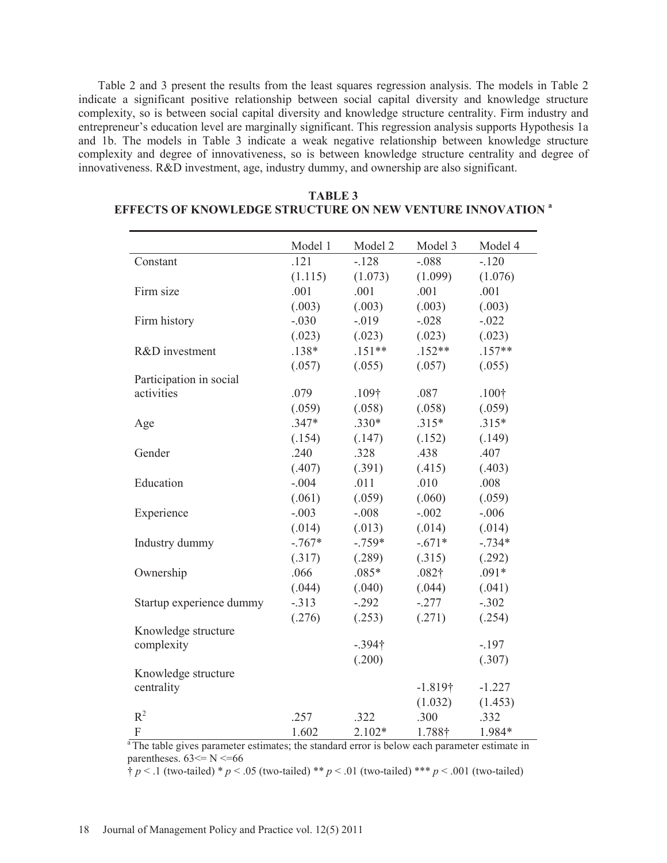Table 2 and 3 present the results from the least squares regression analysis. The models in Table 2 indicate a significant positive relationship between social capital diversity and knowledge structure complexity, so is between social capital diversity and knowledge structure centrality. Firm industry and entrepreneur's education level are marginally significant. This regression analysis supports Hypothesis 1a and 1b. The models in Table 3 indicate a weak negative relationship between knowledge structure complexity and degree of innovativeness, so is between knowledge structure centrality and degree of innovativeness. R&D investment, age, industry dummy, and ownership are also significant.

|                          | Model 1  | Model 2           | Model 3         | Model 4           |
|--------------------------|----------|-------------------|-----------------|-------------------|
| Constant                 | .121     | $-.128$           | $-.088$         | $-120$            |
|                          | (1.115)  | (1.073)           | (1.099)         | (1.076)           |
| Firm size                | .001     | .001              | .001            | .001              |
|                          | (.003)   | (.003)            | (.003)          | (.003)            |
| Firm history             | $-.030$  | $-.019$           | $-.028$         | $-.022$           |
|                          | (.023)   | (.023)            | (.023)          | (.023)            |
| R&D investment           | $.138*$  | $.151**$          | $.152**$        | $.157**$          |
|                          | (.057)   | (.055)            | (.057)          | (.055)            |
| Participation in social  |          |                   |                 |                   |
| activities               | .079     | .109 <sup>†</sup> | .087            | .100 <sup>†</sup> |
|                          | (.059)   | (.058)            | (.058)          | (.059)            |
| Age                      | $.347*$  | $.330*$           | $.315*$         | $.315*$           |
|                          | (.154)   | (.147)            | (.152)          | (.149)            |
| Gender                   | .240     | .328              | .438            | .407              |
|                          | (.407)   | (.391)            | (.415)          | (.403)            |
| Education                | $-.004$  | .011              | .010            | .008              |
|                          | (.061)   | (.059)            | (.060)          | (.059)            |
| Experience               | $-.003$  | $-.008$           | $-.002$         | $-.006$           |
|                          | (.014)   | (.013)            | (.014)          | (.014)            |
| Industry dummy           | $-.767*$ | $-.759*$          | $-.671*$        | $-.734*$          |
|                          | (.317)   | (.289)            | (.315)          | (.292)            |
| Ownership                | .066     | $.085*$           | $.082\dagger$   | $.091*$           |
|                          | (.044)   | (.040)            | (.044)          | (.041)            |
| Startup experience dummy | $-.313$  | $-.292$           | $-.277$         | $-.302$           |
|                          | (.276)   | (.253)            | (.271)          | (.254)            |
| Knowledge structure      |          |                   |                 |                   |
| complexity               |          | $-394$ †          |                 | $-.197$           |
|                          |          | (.200)            |                 | (.307)            |
| Knowledge structure      |          |                   |                 |                   |
| centrality               |          |                   | $-1.819\dagger$ | $-1.227$          |
|                          |          |                   | (1.032)         | (1.453)           |
| $R^2$                    | .257     | .322              | .300            | .332              |
| F                        | 1.602    | $2.102*$          | 1.788†          | 1.984*            |

| <b>TABLE 3</b>                                                    |
|-------------------------------------------------------------------|
| <b>EFFECTS OF KNOWLEDGE STRUCTURE ON NEW VENTURE INNOVATION a</b> |

<sup>a</sup>The table gives parameter estimates; the standard error is below each parameter estimate in parentheses.  $63 \leq N \leq 66$ 

 $\uparrow p$  < .1 (two-tailed) \* *p* < .05 (two-tailed) \*\* *p* < .01 (two-tailed) \*\*\* *p* < .001 (two-tailed)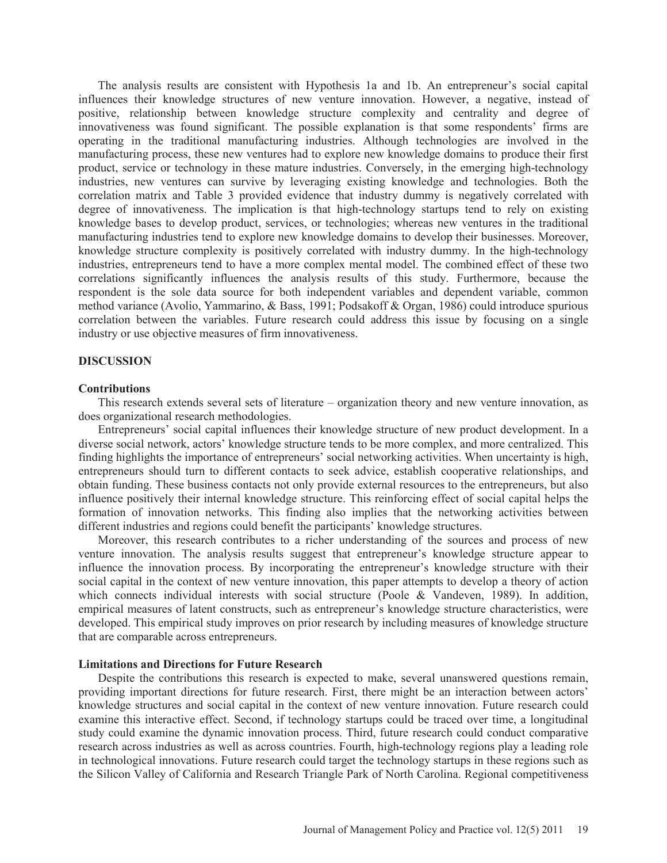The analysis results are consistent with Hypothesis 1a and 1b. An entrepreneur's social capital influences their knowledge structures of new venture innovation. However, a negative, instead of positive, relationship between knowledge structure complexity and centrality and degree of innovativeness was found significant. The possible explanation is that some respondents' firms are operating in the traditional manufacturing industries. Although technologies are involved in the manufacturing process, these new ventures had to explore new knowledge domains to produce their first product, service or technology in these mature industries. Conversely, in the emerging high-technology industries, new ventures can survive by leveraging existing knowledge and technologies. Both the correlation matrix and Table 3 provided evidence that industry dummy is negatively correlated with degree of innovativeness. The implication is that high-technology startups tend to rely on existing knowledge bases to develop product, services, or technologies; whereas new ventures in the traditional manufacturing industries tend to explore new knowledge domains to develop their businesses. Moreover, knowledge structure complexity is positively correlated with industry dummy. In the high-technology industries, entrepreneurs tend to have a more complex mental model. The combined effect of these two correlations significantly influences the analysis results of this study. Furthermore, because the respondent is the sole data source for both independent variables and dependent variable, common method variance (Avolio, Yammarino, & Bass, 1991; Podsakoff & Organ, 1986) could introduce spurious correlation between the variables. Future research could address this issue by focusing on a single industry or use objective measures of firm innovativeness.

### **DISCUSSION**

#### **Contributions**

This research extends several sets of literature – organization theory and new venture innovation, as does organizational research methodologies.

Entrepreneurs' social capital influences their knowledge structure of new product development. In a diverse social network, actors' knowledge structure tends to be more complex, and more centralized. This finding highlights the importance of entrepreneurs' social networking activities. When uncertainty is high, entrepreneurs should turn to different contacts to seek advice, establish cooperative relationships, and obtain funding. These business contacts not only provide external resources to the entrepreneurs, but also influence positively their internal knowledge structure. This reinforcing effect of social capital helps the formation of innovation networks. This finding also implies that the networking activities between different industries and regions could benefit the participants' knowledge structures.

Moreover, this research contributes to a richer understanding of the sources and process of new venture innovation. The analysis results suggest that entrepreneur's knowledge structure appear to influence the innovation process. By incorporating the entrepreneur's knowledge structure with their social capital in the context of new venture innovation, this paper attempts to develop a theory of action which connects individual interests with social structure (Poole & Vandeven, 1989). In addition, empirical measures of latent constructs, such as entrepreneur's knowledge structure characteristics, were developed. This empirical study improves on prior research by including measures of knowledge structure that are comparable across entrepreneurs.

## **Limitations and Directions for Future Research**

Despite the contributions this research is expected to make, several unanswered questions remain, providing important directions for future research. First, there might be an interaction between actors' knowledge structures and social capital in the context of new venture innovation. Future research could examine this interactive effect. Second, if technology startups could be traced over time, a longitudinal study could examine the dynamic innovation process. Third, future research could conduct comparative research across industries as well as across countries. Fourth, high-technology regions play a leading role in technological innovations. Future research could target the technology startups in these regions such as the Silicon Valley of California and Research Triangle Park of North Carolina. Regional competitiveness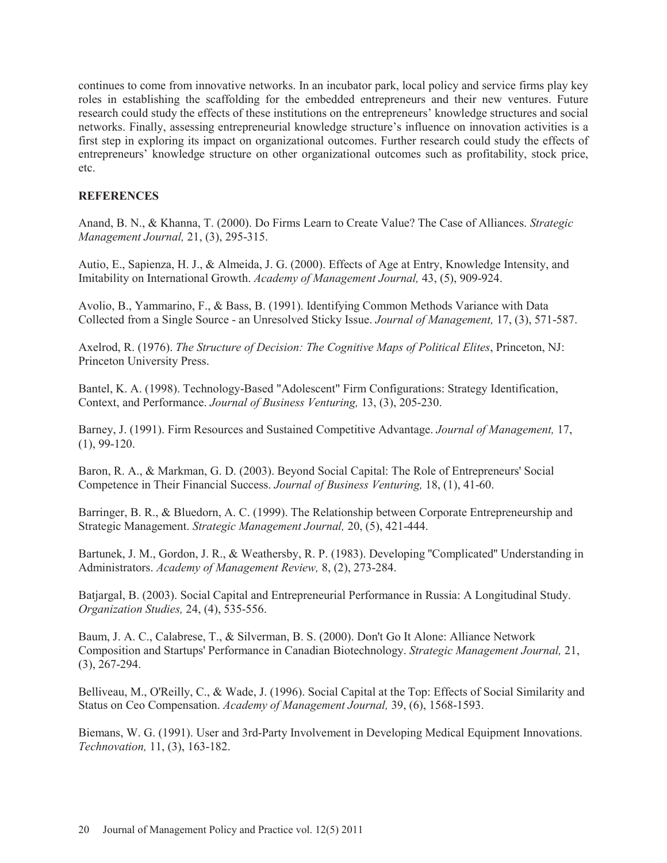continues to come from innovative networks. In an incubator park, local policy and service firms play key roles in establishing the scaffolding for the embedded entrepreneurs and their new ventures. Future research could study the effects of these institutions on the entrepreneurs' knowledge structures and social networks. Finally, assessing entrepreneurial knowledge structure's influence on innovation activities is a first step in exploring its impact on organizational outcomes. Further research could study the effects of entrepreneurs' knowledge structure on other organizational outcomes such as profitability, stock price, etc.

## **REFERENCES**

Anand, B. N., & Khanna, T. (2000). Do Firms Learn to Create Value? The Case of Alliances. *Strategic Management Journal,* 21, (3), 295-315.

Autio, E., Sapienza, H. J., & Almeida, J. G. (2000). Effects of Age at Entry, Knowledge Intensity, and Imitability on International Growth. *Academy of Management Journal,* 43, (5), 909-924.

Avolio, B., Yammarino, F., & Bass, B. (1991). Identifying Common Methods Variance with Data Collected from a Single Source - an Unresolved Sticky Issue. *Journal of Management,* 17, (3), 571-587.

Axelrod, R. (1976). *The Structure of Decision: The Cognitive Maps of Political Elites*, Princeton, NJ: Princeton University Press.

Bantel, K. A. (1998). Technology-Based "Adolescent" Firm Configurations: Strategy Identification, Context, and Performance. *Journal of Business Venturing,* 13, (3), 205-230.

Barney, J. (1991). Firm Resources and Sustained Competitive Advantage. *Journal of Management,* 17, (1), 99-120.

Baron, R. A., & Markman, G. D. (2003). Beyond Social Capital: The Role of Entrepreneurs' Social Competence in Their Financial Success. *Journal of Business Venturing,* 18, (1), 41-60.

Barringer, B. R., & Bluedorn, A. C. (1999). The Relationship between Corporate Entrepreneurship and Strategic Management. *Strategic Management Journal,* 20, (5), 421-444.

Bartunek, J. M., Gordon, J. R., & Weathersby, R. P. (1983). Developing ''Complicated'' Understanding in Administrators. *Academy of Management Review,* 8, (2), 273-284.

Batjargal, B. (2003). Social Capital and Entrepreneurial Performance in Russia: A Longitudinal Study. *Organization Studies,* 24, (4), 535-556.

Baum, J. A. C., Calabrese, T., & Silverman, B. S. (2000). Don't Go It Alone: Alliance Network Composition and Startups' Performance in Canadian Biotechnology. *Strategic Management Journal,* 21, (3), 267-294.

Belliveau, M., O'Reilly, C., & Wade, J. (1996). Social Capital at the Top: Effects of Social Similarity and Status on Ceo Compensation. *Academy of Management Journal,* 39, (6), 1568-1593.

Biemans, W. G. (1991). User and 3rd-Party Involvement in Developing Medical Equipment Innovations. *Technovation,* 11, (3), 163-182.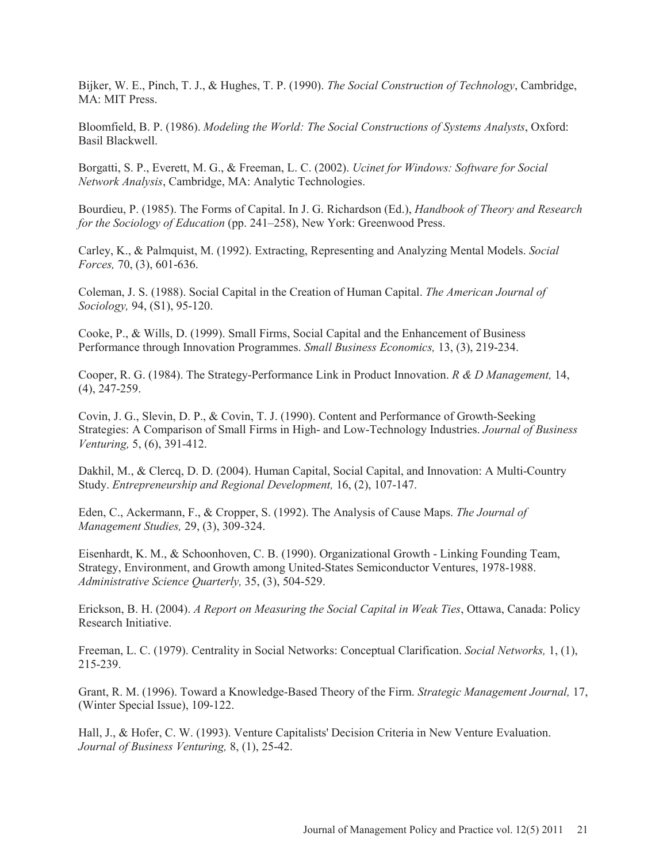Bijker, W. E., Pinch, T. J., & Hughes, T. P. (1990). *The Social Construction of Technology*, Cambridge, MA: MIT Press.

Bloomfield, B. P. (1986). *Modeling the World: The Social Constructions of Systems Analysts*, Oxford: Basil Blackwell.

Borgatti, S. P., Everett, M. G., & Freeman, L. C. (2002). *Ucinet for Windows: Software for Social Network Analysis*, Cambridge, MA: Analytic Technologies.

Bourdieu, P. (1985). The Forms of Capital. In J. G. Richardson (Ed.), *Handbook of Theory and Research for the Sociology of Education* (pp. 241–258), New York: Greenwood Press.

Carley, K., & Palmquist, M. (1992). Extracting, Representing and Analyzing Mental Models. *Social Forces,* 70, (3), 601-636.

Coleman, J. S. (1988). Social Capital in the Creation of Human Capital. *The American Journal of Sociology,* 94, (S1), 95-120.

Cooke, P., & Wills, D. (1999). Small Firms, Social Capital and the Enhancement of Business Performance through Innovation Programmes. *Small Business Economics,* 13, (3), 219-234.

Cooper, R. G. (1984). The Strategy-Performance Link in Product Innovation. *R & D Management,* 14, (4), 247-259.

Covin, J. G., Slevin, D. P., & Covin, T. J. (1990). Content and Performance of Growth-Seeking Strategies: A Comparison of Small Firms in High- and Low-Technology Industries. *Journal of Business Venturing,* 5, (6), 391-412.

Dakhil, M., & Clercq, D. D. (2004). Human Capital, Social Capital, and Innovation: A Multi-Country Study. *Entrepreneurship and Regional Development,* 16, (2), 107-147.

Eden, C., Ackermann, F., & Cropper, S. (1992). The Analysis of Cause Maps. *The Journal of Management Studies,* 29, (3), 309-324.

Eisenhardt, K. M., & Schoonhoven, C. B. (1990). Organizational Growth - Linking Founding Team, Strategy, Environment, and Growth among United-States Semiconductor Ventures, 1978-1988. *Administrative Science Quarterly,* 35, (3), 504-529.

Erickson, B. H. (2004). *A Report on Measuring the Social Capital in Weak Ties*, Ottawa, Canada: Policy Research Initiative.

Freeman, L. C. (1979). Centrality in Social Networks: Conceptual Clarification. *Social Networks,* 1, (1), 215-239.

Grant, R. M. (1996). Toward a Knowledge-Based Theory of the Firm. *Strategic Management Journal,* 17, (Winter Special Issue), 109-122.

Hall, J., & Hofer, C. W. (1993). Venture Capitalists' Decision Criteria in New Venture Evaluation. *Journal of Business Venturing,* 8, (1), 25-42.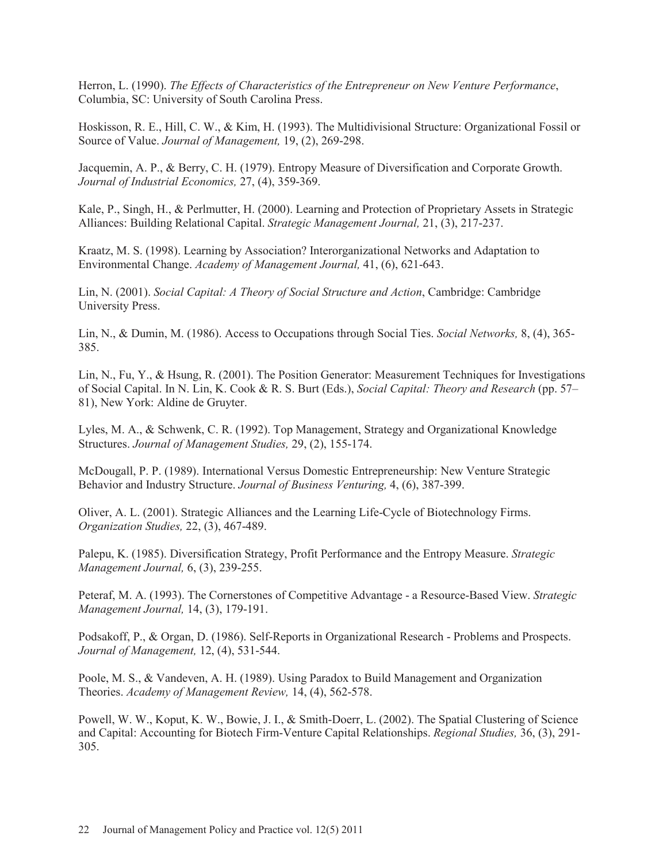Herron, L. (1990). *The Effects of Characteristics of the Entrepreneur on New Venture Performance*, Columbia, SC: University of South Carolina Press.

Hoskisson, R. E., Hill, C. W., & Kim, H. (1993). The Multidivisional Structure: Organizational Fossil or Source of Value. *Journal of Management,* 19, (2), 269-298.

Jacquemin, A. P., & Berry, C. H. (1979). Entropy Measure of Diversification and Corporate Growth. *Journal of Industrial Economics,* 27, (4), 359-369.

Kale, P., Singh, H., & Perlmutter, H. (2000). Learning and Protection of Proprietary Assets in Strategic Alliances: Building Relational Capital. *Strategic Management Journal,* 21, (3), 217-237.

Kraatz, M. S. (1998). Learning by Association? Interorganizational Networks and Adaptation to Environmental Change. *Academy of Management Journal,* 41, (6), 621-643.

Lin, N. (2001). *Social Capital: A Theory of Social Structure and Action*, Cambridge: Cambridge University Press.

Lin, N., & Dumin, M. (1986). Access to Occupations through Social Ties. *Social Networks,* 8, (4), 365- 385.

Lin, N., Fu, Y., & Hsung, R. (2001). The Position Generator: Measurement Techniques for Investigations of Social Capital. In N. Lin, K. Cook & R. S. Burt (Eds.), *Social Capital: Theory and Research* (pp. 57– 81), New York: Aldine de Gruyter.

Lyles, M. A., & Schwenk, C. R. (1992). Top Management, Strategy and Organizational Knowledge Structures. *Journal of Management Studies,* 29, (2), 155-174.

McDougall, P. P. (1989). International Versus Domestic Entrepreneurship: New Venture Strategic Behavior and Industry Structure. *Journal of Business Venturing,* 4, (6), 387-399.

Oliver, A. L. (2001). Strategic Alliances and the Learning Life-Cycle of Biotechnology Firms. *Organization Studies,* 22, (3), 467-489.

Palepu, K. (1985). Diversification Strategy, Profit Performance and the Entropy Measure. *Strategic Management Journal,* 6, (3), 239-255.

Peteraf, M. A. (1993). The Cornerstones of Competitive Advantage - a Resource-Based View. *Strategic Management Journal,* 14, (3), 179-191.

Podsakoff, P., & Organ, D. (1986). Self-Reports in Organizational Research - Problems and Prospects. *Journal of Management,* 12, (4), 531-544.

Poole, M. S., & Vandeven, A. H. (1989). Using Paradox to Build Management and Organization Theories. *Academy of Management Review,* 14, (4), 562-578.

Powell, W. W., Koput, K. W., Bowie, J. I., & Smith-Doerr, L. (2002). The Spatial Clustering of Science and Capital: Accounting for Biotech Firm-Venture Capital Relationships. *Regional Studies,* 36, (3), 291- 305.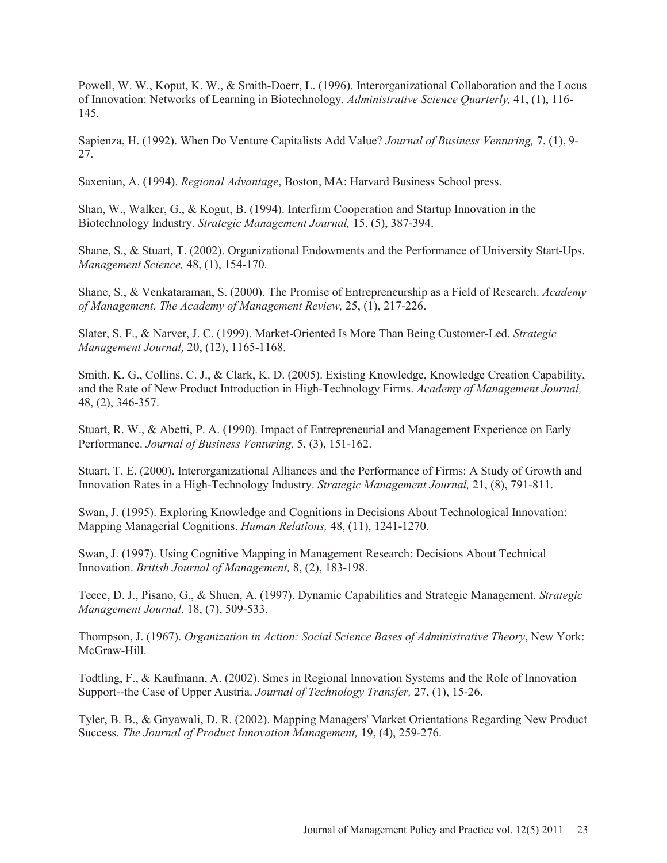Powell, W. W., Koput, K. W., & Smith-Doerr, L. (1996). Interorganizational Collaboration and the Locus of Innovation: Networks of Learning in Biotechnology. *Administrative Science Quarterly,* 41, (1), 116- 145.

Sapienza, H. (1992). When Do Venture Capitalists Add Value? *Journal of Business Venturing,* 7, (1), 9- 27.

Saxenian, A. (1994). *Regional Advantage*, Boston, MA: Harvard Business School press.

Shan, W., Walker, G., & Kogut, B. (1994). Interfirm Cooperation and Startup Innovation in the Biotechnology Industry. *Strategic Management Journal,* 15, (5), 387-394.

Shane, S., & Stuart, T. (2002). Organizational Endowments and the Performance of University Start-Ups. *Management Science,* 48, (1), 154-170.

Shane, S., & Venkataraman, S. (2000). The Promise of Entrepreneurship as a Field of Research. *Academy of Management. The Academy of Management Review,* 25, (1), 217-226.

Slater, S. F., & Narver, J. C. (1999). Market-Oriented Is More Than Being Customer-Led. *Strategic Management Journal,* 20, (12), 1165-1168.

Smith, K. G., Collins, C. J., & Clark, K. D. (2005). Existing Knowledge, Knowledge Creation Capability, and the Rate of New Product Introduction in High-Technology Firms. *Academy of Management Journal,*  48, (2), 346-357.

Stuart, R. W., & Abetti, P. A. (1990). Impact of Entrepreneurial and Management Experience on Early Performance. *Journal of Business Venturing,* 5, (3), 151-162.

Stuart, T. E. (2000). Interorganizational Alliances and the Performance of Firms: A Study of Growth and Innovation Rates in a High-Technology Industry. *Strategic Management Journal,* 21, (8), 791-811.

Swan, J. (1995). Exploring Knowledge and Cognitions in Decisions About Technological Innovation: Mapping Managerial Cognitions. *Human Relations,* 48, (11), 1241-1270.

Swan, J. (1997). Using Cognitive Mapping in Management Research: Decisions About Technical Innovation. *British Journal of Management,* 8, (2), 183-198.

Teece, D. J., Pisano, G., & Shuen, A. (1997). Dynamic Capabilities and Strategic Management. *Strategic Management Journal,* 18, (7), 509-533.

Thompson, J. (1967). *Organization in Action: Social Science Bases of Administrative Theory*, New York: McGraw-Hill.

Todtling, F., & Kaufmann, A. (2002). Smes in Regional Innovation Systems and the Role of Innovation Support--the Case of Upper Austria. *Journal of Technology Transfer,* 27, (1), 15-26.

Tyler, B. B., & Gnyawali, D. R. (2002). Mapping Managers' Market Orientations Regarding New Product Success. *The Journal of Product Innovation Management,* 19, (4), 259-276.